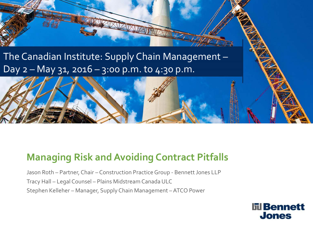### The Canadian Institute: Supply Chain Management – Day  $2 -$  May  $31$ ,  $2016 - 3:00$  p.m. to  $4:30$  p.m.

#### **Managing Risk and Avoiding Contract Pitfalls**

Jason Roth – Partner, Chair – Construction Practice Group - Bennett Jones LLP Tracy Hall – Legal Counsel – Plains Midstream Canada ULC Stephen Kelleher – Manager, Supply Chain Management –ATCO Power

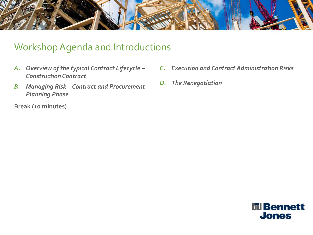

#### Workshop Agenda and Introductions

- *A. Overview of the typical Contract Lifecycle – Construction Contract*
- *B. Managing Risk Contract and Procurement Planning Phase*

**Break (10 minutes)**

- *C. Execution and Contract Administration Risks*
- *D. The Renegotiation*

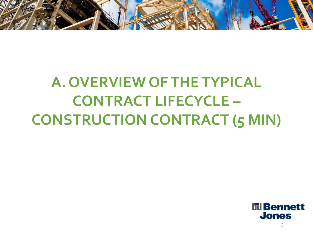

# **A. OVERVIEW OF THE TYPICAL CONTRACT LIFECYCLE – CONSTRUCTION CONTRACT (5 MIN)**

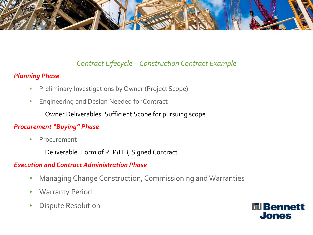

#### *Contract Lifecycle – Construction Contract Example*

#### *Planning Phase*

- Preliminary Investigations by Owner (Project Scope)
- Engineering and Design Needed for Contract

Owner Deliverables: Sufficient Scope for pursuing scope

#### *Procurement "Buying" Phase*

• Procurement

Deliverable: Form of RFP/ITB; Signed Contract

#### *Execution and Contract Administration Phase*

- Managing Change Construction, Commissioning and Warranties
- **Warranty Period**
- Dispute Resolution

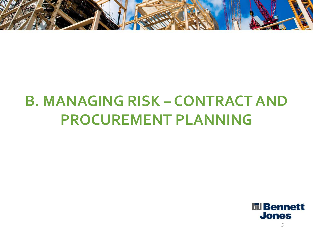

# **B. MANAGING RISK – CONTRACT AND PROCUREMENT PLANNING**

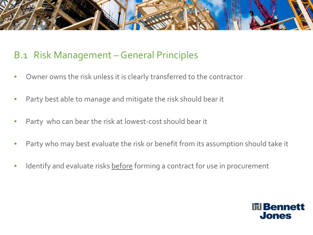

#### B.1 Risk Management –General Principles

- Owner owns the risk unless it is clearly transferred to the contractor
- Party best able to manage and mitigate the risk should bear it
- Party who can bear the risk at lowest-cost should bear it
- Party who may best evaluate the risk or benefit from its assumption should take it
- Identify and evaluate risks before forming a contract for use in procurement

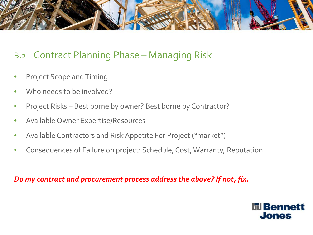

#### B.2 Contract Planning Phase – Managing Risk

- Project Scope and Timing
- Who needs to be involved?
- Project Risks Best borne by owner? Best borne by Contractor?
- Available Owner Expertise/Resources
- Available Contractors and Risk Appetite For Project ("market")
- Consequences of Failure on project: Schedule, Cost, Warranty, Reputation

*Do my contract and procurement process address the above? If not, fix.* 

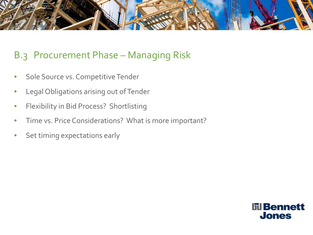

#### B.3 Procurement Phase – Managing Risk

- Sole Source vs. Competitive Tender
- Legal Obligations arising out of Tender
- Flexibility in Bid Process? Shortlisting
- Time vs. Price Considerations? What is more important?
- Set timing expectations early

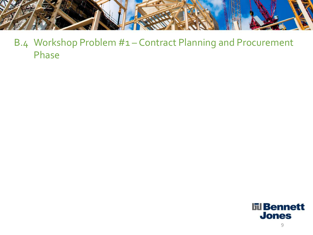

B.4 Workshop Problem #1 – Contract Planning and Procurement Phase

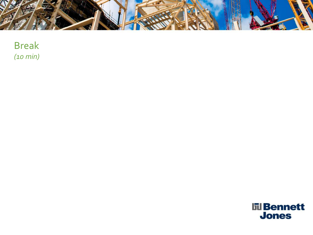

Break *(10 min)*

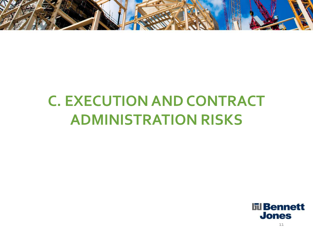

## **C. EXECUTION AND CONTRACT ADMINISTRATION RISKS**

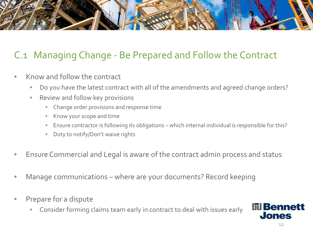

### C.1 Managing Change - Be Prepared and Follow the Contract

- Know and follow the contract
	- Do you have the latest contract with all of the amendments and agreed change orders?
	- Review and follow key provisions
		- Change order provisions and response time
		- Know your scope and time
		- Ensure contractor is following its obligations which internal individual is responsible for this?
		- Duty to notify/Don't waive rights
- Ensure Commercial and Legal is aware of the contract admin process and status
- Manage communications where are your documents? Record keeping
- Prepare for a dispute
	- Consider forming claims team early in contract to deal with issues early

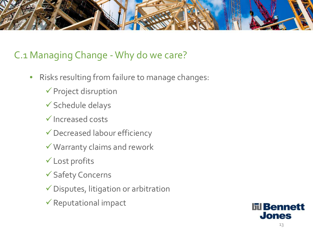

#### C.1 Managing Change -Why do we care?

- Risks resulting from failure to manage changes:
	- $\checkmark$  Project disruption
	- Schedule delays
	- $\checkmark$  Increased costs
	- Decreased labour efficiency
	- Warranty claims and rework
	- Lost profits
	- Safety Concerns
	- $\checkmark$  Disputes, litigation or arbitration
	- $\checkmark$  Reputational impact

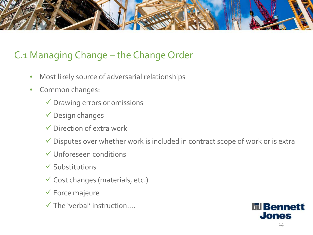

### C.1 Managing Change – the Change Order

- Most likely source of adversarial relationships
- Common changes:
	- $\checkmark$  Drawing errors or omissions
	- Design changes
	- $\checkmark$  Direction of extra work
	- $\checkmark$  Disputes over whether work is included in contract scope of work or is extra
	- Unforeseen conditions
	- $\checkmark$  Substitutions
	- $\checkmark$  Cost changes (materials, etc.)
	- Force majeure
	- The 'verbal' instruction….

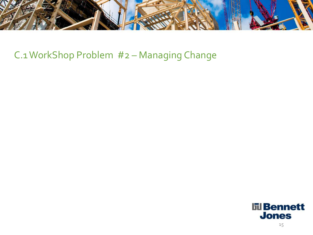

#### C.1 WorkShop Problem #2 – Managing Change

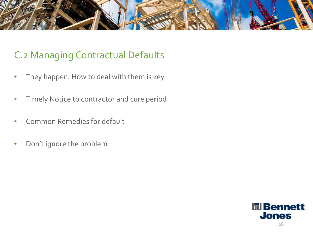

#### C.2 Managing Contractual Defaults

- They happen. How to deal with them is key
- Timely Notice to contractor and cure period
- Common Remedies for default
- Don't ignore the problem

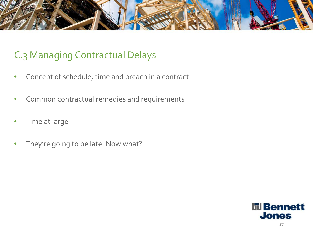

### C.3 Managing Contractual Delays

- Concept of schedule, time and breach in a contract
- Common contractual remedies and requirements
- Time at large
- They're going to be late. Now what?

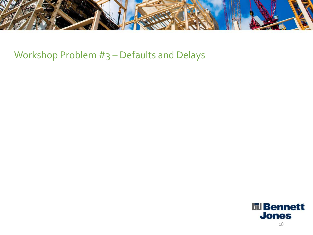

Workshop Problem #3 – Defaults and Delays

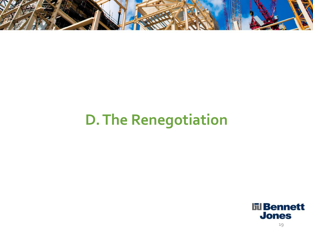

# **D. The Renegotiation**

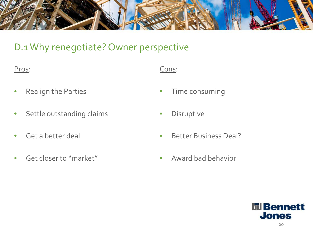

#### D.1 Why renegotiate? Owner perspective

- Realign the Parties
- Settle outstanding claims
- Get a better deal
- Get closer to "market"
- Cons:
- Time consuming
- Disruptive
- Better Business Deal?
- Award bad behavior

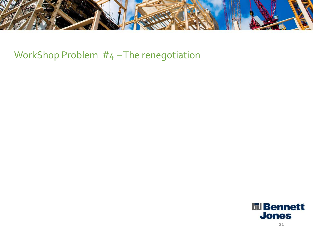

WorkShop Problem #4-The renegotiation